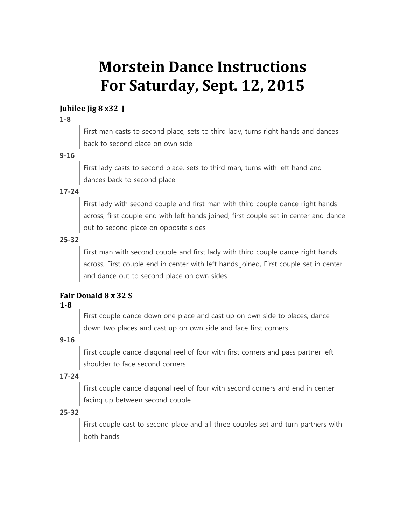# **Morstein Dance Instructions For Saturday, Sept. 12, 2015**

## **Jubilee Jig 8 x32 J**

#### **1-8**

First man casts to second place, sets to third lady, turns right hands and dances back to second place on own side

## **9-16**

First lady casts to second place, sets to third man, turns with left hand and dances back to second place

## **17-24**

First lady with second couple and first man with third couple dance right hands across, first couple end with left hands joined, first couple set in center and dance out to second place on opposite sides

## **25-32**

First man with second couple and first lady with third couple dance right hands across, First couple end in center with left hands joined, First couple set in center and dance out to second place on own sides

# **Fair Donald 8 x 32 S**

## **1-8**

First couple dance down one place and cast up on own side to places, dance down two places and cast up on own side and face first corners

## **9-16**

First couple dance diagonal reel of four with first corners and pass partner left shoulder to face second corners

## **17-24**

First couple dance diagonal reel of four with second corners and end in center facing up between second couple

## **25-32**

First couple cast to second place and all three couples set and turn partners with both hands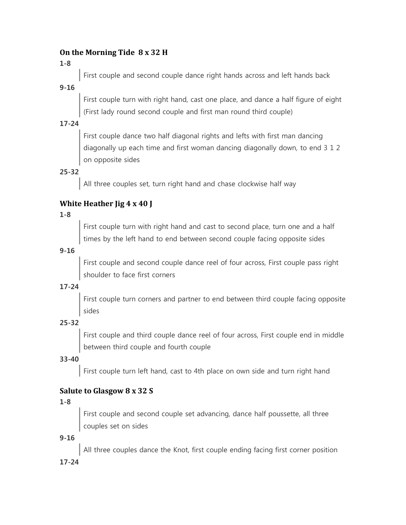## **On the Morning Tide 8 x 32 H**

**1-8**

First couple and second couple dance right hands across and left hands back

**9-16**

First couple turn with right hand, cast one place, and dance a half figure of eight (First lady round second couple and first man round third couple)

# **17-24**

First couple dance two half diagonal rights and lefts with first man dancing diagonally up each time and first woman dancing diagonally down, to end 3 1 2 on opposite sides

**25-32**

All three couples set, turn right hand and chase clockwise half way

# **White Heather Jig 4 x 40 J**

**1-8**

First couple turn with right hand and cast to second place, turn one and a half times by the left hand to end between second couple facing opposite sides

# **9-16**

First couple and second couple dance reel of four across, First couple pass right shoulder to face first corners

# **17-24**

First couple turn corners and partner to end between third couple facing opposite sides

# **25-32**

First couple and third couple dance reel of four across, First couple end in middle between third couple and fourth couple

# **33-40**

First couple turn left hand, cast to 4th place on own side and turn right hand

# **Salute to Glasgow 8 x 32 S**

# **1-8**

First couple and second couple set advancing, dance half poussette, all three couples set on sides

# **9-16**

All three couples dance the Knot, first couple ending facing first corner position

# **17-24**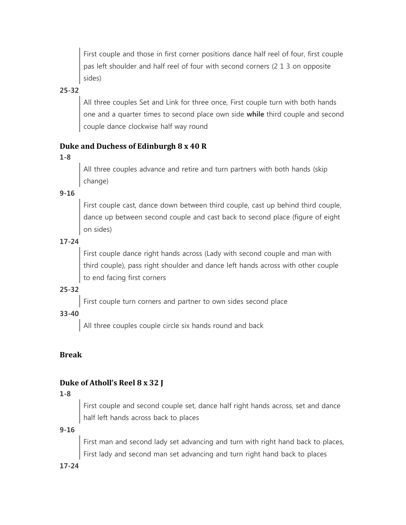First couple and those in first corner positions dance half reel of four, first couple pas left shoulder and half reel of four with second corners (2 1 3 on opposite sides)

## **25-32**

All three couples Set and Link for three once, First couple turn with both hands one and a quarter times to second place own side **while** third couple and second couple dance clockwise half way round

## **Duke and Duchess of Edinburgh 8 x 40 R**

#### **1-8**

All three couples advance and retire and turn partners with both hands (skip change)

**9-16**

First couple cast, dance down between third couple, cast up behind third couple, dance up between second couple and cast back to second place (figure of eight on sides)

## **17-24**

First couple dance right hands across (Lady with second couple and man with third couple), pass right shoulder and dance left hands across with other couple to end facing first corners

## **25-32**

First couple turn corners and partner to own sides second place

## **33-40**

All three couples couple circle six hands round and back

## **Break**

# **Duke of Atholl's Reel 8 x 32 J**

## **1-8**

First couple and second couple set, dance half right hands across, set and dance half left hands across back to places

#### **9-16**

First man and second lady set advancing and turn with right hand back to places, First lady and second man set advancing and turn right hand back to places

#### **17-24**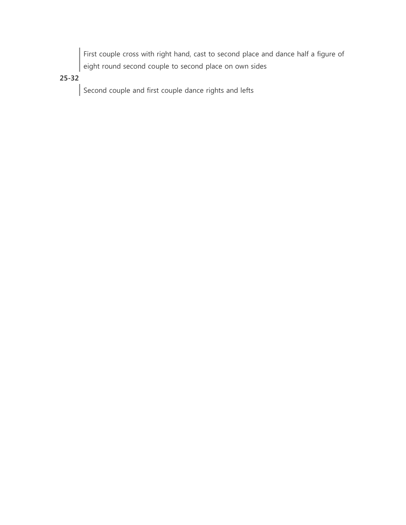First couple cross with right hand, cast to second place and dance half a figure of eight round second couple to second place on own sides

# **25-32**

Second couple and first couple dance rights and lefts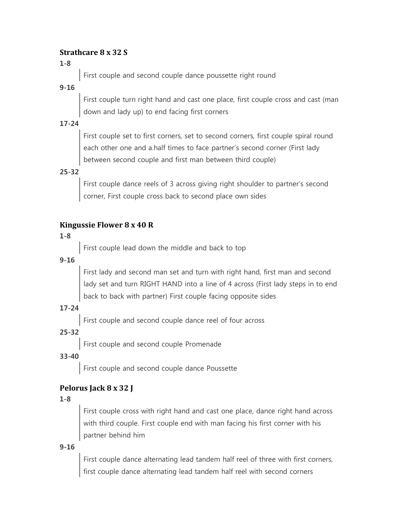## **Strathcare 8 x 32 S**

# **1-8**

First couple and second couple dance poussette right round

# **9-16**

First couple turn right hand and cast one place, first couple cross and cast (man down and lady up) to end facing first corners

# **17-24**

First couple set to first corners, set to second corners, first couple spiral round each other one and a.half times to face partner's second corner (First lady between second couple and first man between third couple)

# **25-32**

First couple dance reels of 3 across giving right shoulder to partner's second corner, First couple cross back to second place own sides

# **Kingussie Flower 8 x 40 R**

## **1-8**

First couple lead down the middle and back to top

## **9-16**

First lady and second man set and turn with right hand, first man and second lady set and turn RIGHT HAND into a line of 4 across (First lady steps in to end back to back with partner) First couple facing opposite sides

# **17-24**

First couple and second couple dance reel of four across

# **25-32**

First couple and second couple Promenade

# **33-40**

First couple and second couple dance Poussette

# **Pelorus Jack 8 x 32 J**

# **1-8**

First couple cross with right hand and cast one place, dance right hand across with third couple. First couple end with man facing his first corner with his partner behind him

# **9-16**

First couple dance alternating lead tandem half reel of three with first corners, first couple dance alternating lead tandem half reel with second corners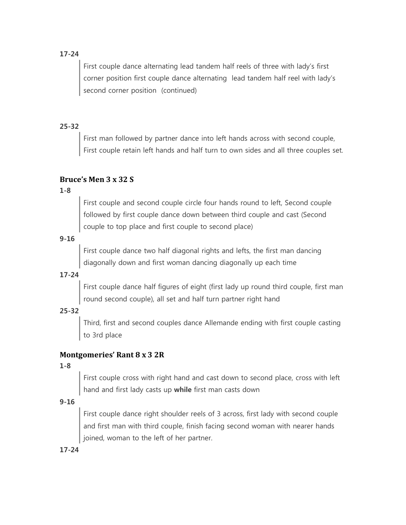## **17-24**

First couple dance alternating lead tandem half reels of three with lady's first corner position first couple dance alternating lead tandem half reel with lady's second corner position (continued)

## **25-32**

First man followed by partner dance into left hands across with second couple, First couple retain left hands and half turn to own sides and all three couples set.

## **Bruce's Men 3 x 32 S**

#### **1-8**

First couple and second couple circle four hands round to left, Second couple followed by first couple dance down between third couple and cast (Second couple to top place and first couple to second place)

## **9-16**

First couple dance two half diagonal rights and lefts, the first man dancing diagonally down and first woman dancing diagonally up each time

## **17-24**

First couple dance half figures of eight (first lady up round third couple, first man round second couple), all set and half turn partner right hand

## **25-32**

Third, first and second couples dance Allemande ending with first couple casting to 3rd place

## **Montgomeries' Rant 8 x 3 2R**

#### **1-8**

First couple cross with right hand and cast down to second place, cross with left hand and first lady casts up **while** first man casts down

#### **9-16**

First couple dance right shoulder reels of 3 across, first lady with second couple and first man with third couple, finish facing second woman with nearer hands joined, woman to the left of her partner.

**17-24**